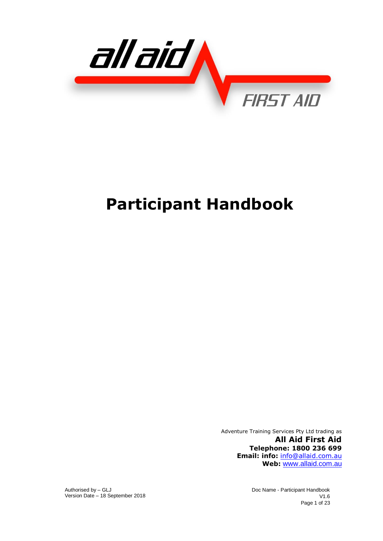

# **Participant Handbook**

Adventure Training Services Pty Ltd trading as **All Aid First Aid Telephone: 1800 236 699 Email: info:** info@allaid.com.au **Web:** [www.allaid.com.au](http://www.ibssyd.com.au/)

Authorised by – GLJ Version Date – 18 September 2018 Doc Name - Participant Handbook V1.6 Page 1 of 23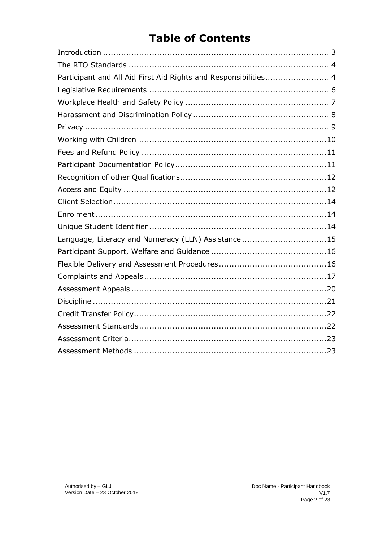# **Table of Contents**

| Participant and All Aid First Aid Rights and Responsibilities 4 |  |
|-----------------------------------------------------------------|--|
|                                                                 |  |
|                                                                 |  |
|                                                                 |  |
|                                                                 |  |
|                                                                 |  |
|                                                                 |  |
|                                                                 |  |
|                                                                 |  |
|                                                                 |  |
|                                                                 |  |
|                                                                 |  |
|                                                                 |  |
| Language, Literacy and Numeracy (LLN) Assistance15              |  |
|                                                                 |  |
|                                                                 |  |
|                                                                 |  |
|                                                                 |  |
|                                                                 |  |
|                                                                 |  |
|                                                                 |  |
|                                                                 |  |
|                                                                 |  |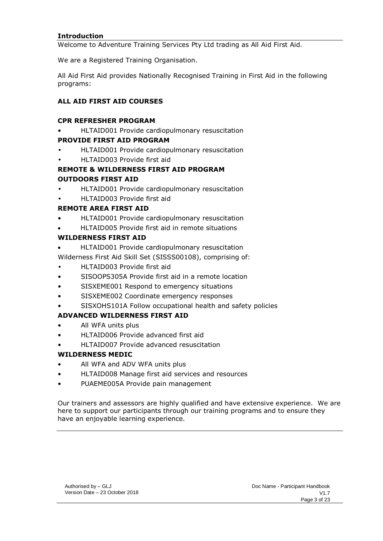#### <span id="page-2-0"></span>**Introduction**

Welcome to Adventure Training Services Pty Ltd trading as All Aid First Aid.

We are a Registered Training Organisation.

All Aid First Aid provides Nationally Recognised Training in First Aid in the following programs:

## **ALL AID FIRST AID COURSES**

#### **CPR REFRESHER PROGRAM**

• HLTAID001 Provide cardiopulmonary resuscitation

#### **PROVIDE FIRST AID PROGRAM**

- HLTAID001 Provide cardiopulmonary resuscitation
- HLTAID003 Provide first aid

# **REMOTE & WILDERNESS FIRST AID PROGRAM OUTDOORS FIRST AID**

- HLTAID001 Provide cardiopulmonary resuscitation
- HLTAID003 Provide first aid

# **REMOTE AREA FIRST AID**

- HLTAID001 Provide cardiopulmonary resuscitation
- HLTAID005 Provide first aid in remote situations

# **WILDERNESS FIRST AID**

- HLTAID001 Provide cardiopulmonary resuscitation
- Wilderness First Aid Skill Set (SISSS00108), comprising of:
- HLTAID003 Provide first aid
- SISOOPS305A Provide first aid in a remote location
- SISXEME001 Respond to emergency situations
- SISXEME002 Coordinate emergency responses
- SISXOHS101A Follow occupational health and safety policies

# **ADVANCED WILDERNESS FIRST AID**

- All WFA units plus
- HLTAID006 Provide advanced first aid
- HLTAID007 Provide advanced resuscitation

# **WILDERNESS MEDIC**

- All WFA and ADV WFA units plus
- HLTAID008 Manage first aid services and resources
- PUAEME005A Provide pain management

Our trainers and assessors are highly qualified and have extensive experience. We are here to support our participants through our training programs and to ensure they have an enjoyable learning experience.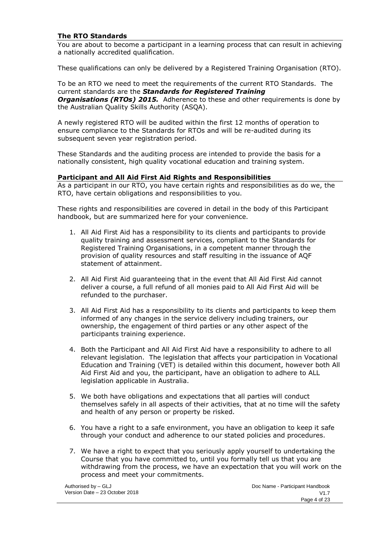#### <span id="page-3-0"></span>**The RTO Standards**

You are about to become a participant in a learning process that can result in achieving a nationally accredited qualification.

These qualifications can only be delivered by a Registered Training Organisation (RTO).

To be an RTO we need to meet the requirements of the current RTO Standards. The current standards are the *Standards for Registered Training Organisations (RTOs) 2015.* Adherence to these and other requirements is done by the Australian Quality Skills Authority (ASQA).

A newly registered RTO will be audited within the first 12 months of operation to ensure compliance to the Standards for RTOs and will be re-audited during its subsequent seven year registration period.

These Standards and the auditing process are intended to provide the basis for a nationally consistent, high quality vocational education and training system.

#### <span id="page-3-1"></span>**Participant and All Aid First Aid Rights and Responsibilities**

As a participant in our RTO, you have certain rights and responsibilities as do we, the RTO, have certain obligations and responsibilities to you.

These rights and responsibilities are covered in detail in the body of this Participant handbook, but are summarized here for your convenience.

- 1. All Aid First Aid has a responsibility to its clients and participants to provide quality training and assessment services, compliant to the Standards for Registered Training Organisations, in a competent manner through the provision of quality resources and staff resulting in the issuance of AQF statement of attainment.
- 2. All Aid First Aid guaranteeing that in the event that All Aid First Aid cannot deliver a course, a full refund of all monies paid to All Aid First Aid will be refunded to the purchaser.
- 3. All Aid First Aid has a responsibility to its clients and participants to keep them informed of any changes in the service delivery including trainers, our ownership, the engagement of third parties or any other aspect of the participants training experience.
- 4. Both the Participant and All Aid First Aid have a responsibility to adhere to all relevant legislation. The legislation that affects your participation in Vocational Education and Training (VET) is detailed within this document, however both All Aid First Aid and you, the participant, have an obligation to adhere to ALL legislation applicable in Australia.
- 5. We both have obligations and expectations that all parties will conduct themselves safely in all aspects of their activities, that at no time will the safety and health of any person or property be risked.
- 6. You have a right to a safe environment, you have an obligation to keep it safe through your conduct and adherence to our stated policies and procedures.
- 7. We have a right to expect that you seriously apply yourself to undertaking the Course that you have committed to, until you formally tell us that you are withdrawing from the process, we have an expectation that you will work on the process and meet your commitments.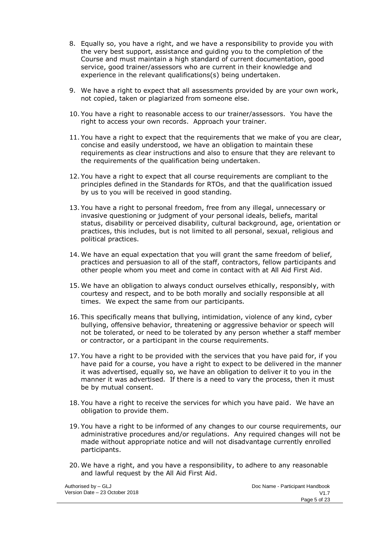- 8. Equally so, you have a right, and we have a responsibility to provide you with the very best support, assistance and guiding you to the completion of the Course and must maintain a high standard of current documentation, good service, good trainer/assessors who are current in their knowledge and experience in the relevant qualifications(s) being undertaken.
- 9. We have a right to expect that all assessments provided by are your own work, not copied, taken or plagiarized from someone else.
- 10. You have a right to reasonable access to our trainer/assessors. You have the right to access your own records. Approach your trainer.
- 11. You have a right to expect that the requirements that we make of you are clear, concise and easily understood, we have an obligation to maintain these requirements as clear instructions and also to ensure that they are relevant to the requirements of the qualification being undertaken.
- 12. You have a right to expect that all course requirements are compliant to the principles defined in the Standards for RTOs, and that the qualification issued by us to you will be received in good standing.
- 13. You have a right to personal freedom, free from any illegal, unnecessary or invasive questioning or judgment of your personal ideals, beliefs, marital status, disability or perceived disability, cultural background, age, orientation or practices, this includes, but is not limited to all personal, sexual, religious and political practices.
- 14. We have an equal expectation that you will grant the same freedom of belief, practices and persuasion to all of the staff, contractors, fellow participants and other people whom you meet and come in contact with at All Aid First Aid.
- 15. We have an obligation to always conduct ourselves ethically, responsibly, with courtesy and respect, and to be both morally and socially responsible at all times. We expect the same from our participants.
- 16. This specifically means that bullying, intimidation, violence of any kind, cyber bullying, offensive behavior, threatening or aggressive behavior or speech will not be tolerated, or need to be tolerated by any person whether a staff member or contractor, or a participant in the course requirements.
- 17. You have a right to be provided with the services that you have paid for, if you have paid for a course, you have a right to expect to be delivered in the manner it was advertised, equally so, we have an obligation to deliver it to you in the manner it was advertised. If there is a need to vary the process, then it must be by mutual consent.
- 18. You have a right to receive the services for which you have paid. We have an obligation to provide them.
- 19. You have a right to be informed of any changes to our course requirements, our administrative procedures and/or regulations. Any required changes will not be made without appropriate notice and will not disadvantage currently enrolled participants.
- 20. We have a right, and you have a responsibility, to adhere to any reasonable and lawful request by the All Aid First Aid.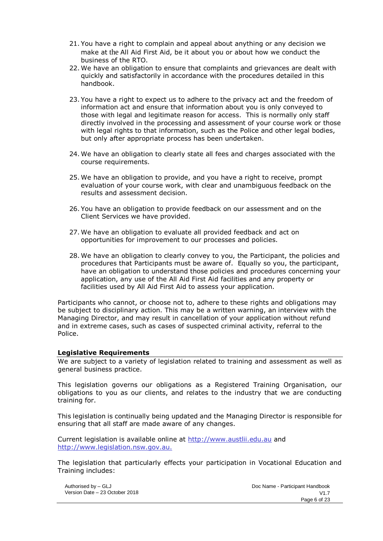- 21. You have a right to complain and appeal about anything or any decision we make at the All Aid First Aid, be it about you or about how we conduct the business of the RTO.
- 22. We have an obligation to ensure that complaints and grievances are dealt with quickly and satisfactorily in accordance with the procedures detailed in this handbook.
- 23. You have a right to expect us to adhere to the privacy act and the freedom of information act and ensure that information about you is only conveyed to those with legal and legitimate reason for access. This is normally only staff directly involved in the processing and assessment of your course work or those with legal rights to that information, such as the Police and other legal bodies, but only after appropriate process has been undertaken.
- 24. We have an obligation to clearly state all fees and charges associated with the course requirements.
- 25. We have an obligation to provide, and you have a right to receive, prompt evaluation of your course work, with clear and unambiguous feedback on the results and assessment decision.
- 26. You have an obligation to provide feedback on our assessment and on the Client Services we have provided.
- 27. We have an obligation to evaluate all provided feedback and act on opportunities for improvement to our processes and policies.
- 28. We have an obligation to clearly convey to you, the Participant, the policies and procedures that Participants must be aware of. Equally so you, the participant, have an obligation to understand those policies and procedures concerning your application, any use of the All Aid First Aid facilities and any property or facilities used by All Aid First Aid to assess your application.

Participants who cannot, or choose not to, adhere to these rights and obligations may be subject to disciplinary action. This may be a written warning, an interview with the Managing Director, and may result in cancellation of your application without refund and in extreme cases, such as cases of suspected criminal activity, referral to the Police.

#### <span id="page-5-0"></span>**Legislative Requirements**

We are subject to a variety of legislation related to training and assessment as well as general business practice.

This legislation governs our obligations as a Registered Training Organisation, our obligations to you as our clients, and relates to the industry that we are conducting training for.

This legislation is continually being updated and the Managing Director is responsible for ensuring that all staff are made aware of any changes.

Current legislation is available online at [http://www.austlii.edu.au](http://www.austli.edu.au/) and http:/[/www.legislation.nsw.gov.au.](http://www.legislation.nsw.gov.au/)

The legislation that particularly effects your participation in Vocational Education and Training includes:

Authorised by – GLJ Version Date – 23 October 2018 Doc Name - Participant Handbook  $V1.7$ Page 6 of 23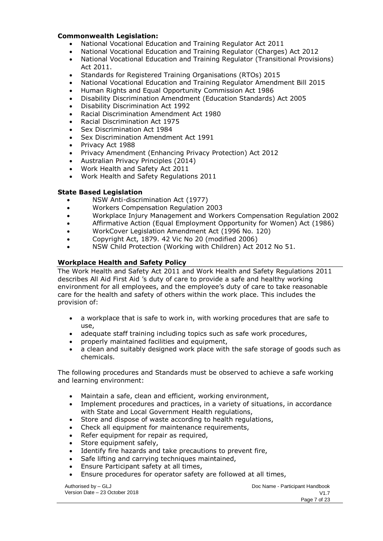#### **Commonwealth Legislation:**

- National Vocational Education and Training Regulator Act 2011
- National Vocational Education and Training Regulator (Charges) Act 2012
- National Vocational Education and Training Regulator (Transitional Provisions) Act 2011.
- Standards for Registered Training Organisations (RTOs) 2015
- National Vocational Education and Training Regulator Amendment Bill 2015
- Human Rights and Equal Opportunity Commission Act 1986
- Disability Discrimination Amendment (Education Standards) Act 2005
- Disability Discrimination Act 1992
- Racial Discrimination Amendment Act 1980
- Racial Discrimination Act 1975
- Sex Discrimination Act 1984
- Sex Discrimination Amendment Act 1991
- Privacy Act 1988
- Privacy Amendment (Enhancing Privacy Protection) Act 2012
- Australian Privacy Principles (2014)
- Work Health and Safety Act 2011
- Work Health and Safety Regulations 2011

#### **State Based Legislation**

- NSW Anti-discrimination Act (1977)
- Workers Compensation Regulation 2003
- Workplace Injury Management and Workers Compensation Regulation 2002
- Affirmative Action (Equal Employment Opportunity for Women) Act (1986)
- WorkCover Legislation Amendment Act (1996 No. 120)
- Copyright Act, 1879. 42 Vic No 20 (modified 2006)
- NSW Child Protection (Working with Children) Act 2012 No 51.

# <span id="page-6-0"></span>**Workplace Health and Safety Policy**

The Work Health and Safety Act 2011 and Work Health and Safety Regulations 2011 describes All Aid First Aid 's duty of care to provide a safe and healthy working environment for all employees, and the employee's duty of care to take reasonable care for the health and safety of others within the work place. This includes the provision of:

- a workplace that is safe to work in, with working procedures that are safe to use,
- adequate staff training including topics such as safe work procedures,
- properly maintained facilities and equipment,
- a clean and suitably designed work place with the safe storage of goods such as chemicals.

The following procedures and Standards must be observed to achieve a safe working and learning environment:

- Maintain a safe, clean and efficient, working environment,
- Implement procedures and practices, in a variety of situations, in accordance with State and Local Government Health regulations,
- Store and dispose of waste according to health regulations,
- Check all equipment for maintenance requirements,
- Refer equipment for repair as required,
- Store equipment safely,
- Identify fire hazards and take precautions to prevent fire,
- Safe lifting and carrying techniques maintained,
- Ensure Participant safety at all times,
- Ensure procedures for operator safety are followed at all times,

Authorised by – GLJ Version Date – 23 October 2018 Doc Name - Participant Handbook  $V1.7$ Page 7 of 23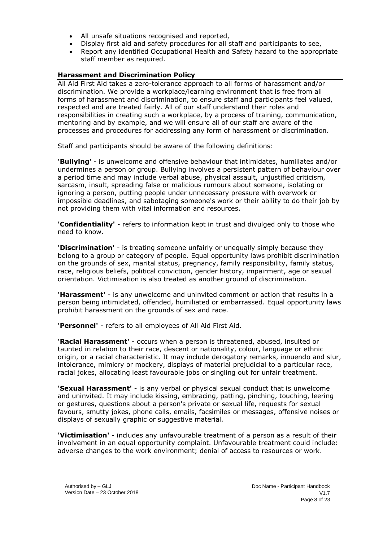- All unsafe situations recognised and reported,
- Display first aid and safety procedures for all staff and participants to see,
- Report any identified Occupational Health and Safety hazard to the appropriate staff member as required.

## <span id="page-7-0"></span>**Harassment and Discrimination Policy**

All Aid First Aid takes a zero-tolerance approach to all forms of harassment and/or discrimination. We provide a workplace/learning environment that is free from all forms of harassment and discrimination, to ensure staff and participants feel valued, respected and are treated fairly. All of our staff understand their roles and responsibilities in creating such a workplace, by a process of training, communication, mentoring and by example, and we will ensure all of our staff are aware of the processes and procedures for addressing any form of harassment or discrimination.

Staff and participants should be aware of the following definitions:

**'Bullying'** - is unwelcome and offensive behaviour that intimidates, humiliates and/or undermines a person or group. Bullying involves a persistent pattern of behaviour over a period time and may include verbal abuse, physical assault, unjustified criticism, sarcasm, insult, spreading false or malicious rumours about someone, isolating or ignoring a person, putting people under unnecessary pressure with overwork or impossible deadlines, and sabotaging someone's work or their ability to do their job by not providing them with vital information and resources.

**'Confidentiality'** - refers to information kept in trust and divulged only to those who need to know.

**'Discrimination'** - is treating someone unfairly or unequally simply because they belong to a group or category of people. Equal opportunity laws prohibit discrimination on the grounds of sex, marital status, pregnancy, family responsibility, family status, race, religious beliefs, political conviction, gender history, impairment, age or sexual orientation. Victimisation is also treated as another ground of discrimination.

**'Harassment'** - is any unwelcome and uninvited comment or action that results in a person being intimidated, offended, humiliated or embarrassed. Equal opportunity laws prohibit harassment on the grounds of sex and race.

**'Personnel'** - refers to all employees of All Aid First Aid.

**'Racial Harassment'** - occurs when a person is threatened, abused, insulted or taunted in relation to their race, descent or nationality, colour, language or ethnic origin, or a racial characteristic. It may include derogatory remarks, innuendo and slur, intolerance, mimicry or mockery, displays of material prejudicial to a particular race, racial jokes, allocating least favourable jobs or singling out for unfair treatment.

**'Sexual Harassment'** - is any verbal or physical sexual conduct that is unwelcome and uninvited. It may include kissing, embracing, patting, pinching, touching, leering or gestures, questions about a person's private or sexual life, requests for sexual favours, smutty jokes, phone calls, emails, facsimiles or messages, offensive noises or displays of sexually graphic or suggestive material.

**'Victimisation'** - includes any unfavourable treatment of a person as a result of their involvement in an equal opportunity complaint. Unfavourable treatment could include: adverse changes to the work environment; denial of access to resources or work.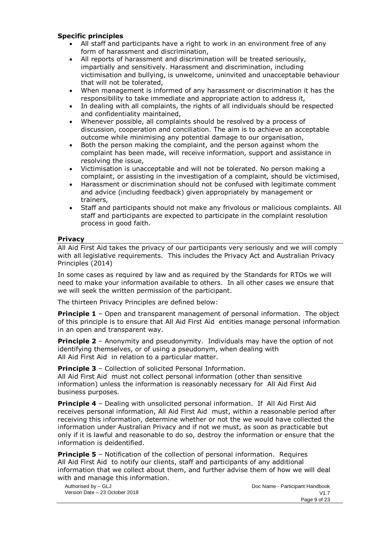#### **Specific principles**

- All staff and participants have a right to work in an environment free of any form of harassment and discrimination,
- All reports of harassment and discrimination will be treated seriously, impartially and sensitively. Harassment and discrimination, including victimisation and bullying, is unwelcome, uninvited and unacceptable behaviour that will not be tolerated,
- When management is informed of any harassment or discrimination it has the responsibility to take immediate and appropriate action to address it,
- In dealing with all complaints, the rights of all individuals should be respected and confidentiality maintained,
- Whenever possible, all complaints should be resolved by a process of discussion, cooperation and conciliation. The aim is to achieve an acceptable outcome while minimising any potential damage to our organisation,
- Both the person making the complaint, and the person against whom the complaint has been made, will receive information, support and assistance in resolving the issue,
- Victimisation is unacceptable and will not be tolerated. No person making a complaint, or assisting in the investigation of a complaint, should be victimised,
- Harassment or discrimination should not be confused with legitimate comment and advice (including feedback) given appropriately by management or trainers,
- Staff and participants should not make any frivolous or malicious complaints. All staff and participants are expected to participate in the complaint resolution process in good faith.

#### <span id="page-8-0"></span>**Privacy**

All Aid First Aid takes the privacy of our participants very seriously and we will comply with all legislative requirements. This includes the Privacy Act and Australian Privacy Principles (2014)

In some cases as required by law and as required by the Standards for RTOs we will need to make your information available to others. In all other cases we ensure that we will seek the written permission of the participant.

The thirteen Privacy Principles are defined below:

**Principle 1** – Open and transparent management of personal information. The object of this principle is to ensure that All Aid First Aid entities manage personal information in an open and transparent way.

**Principle 2** – Anonymity and pseudonymity. Individuals may have the option of not identifying themselves, or of using a pseudonym, when dealing with All Aid First Aid in relation to a particular matter.

**Principle 3** – Collection of solicited Personal Information.

All Aid First Aid must not collect personal information (other than sensitive information) unless the information is reasonably necessary for All Aid First Aid business purposes.

**Principle 4** – Dealing with unsolicited personal information. If All Aid First Aid receives personal information, All Aid First Aid must, within a reasonable period after receiving this information, determine whether or not the we would have collected the information under Australian Privacy and if not we must, as soon as practicable but only if it is lawful and reasonable to do so, destroy the information or ensure that the information is deidentified.

**Principle 5** – Notification of the collection of personal information. Requires All Aid First Aid to notify our clients, staff and participants of any additional information that we collect about them, and further advise them of how we will deal with and manage this information.

Authorised by – GLJ Version Date – 23 October 2018 Doc Name - Participant Handbook V1.7 Page 9 of 23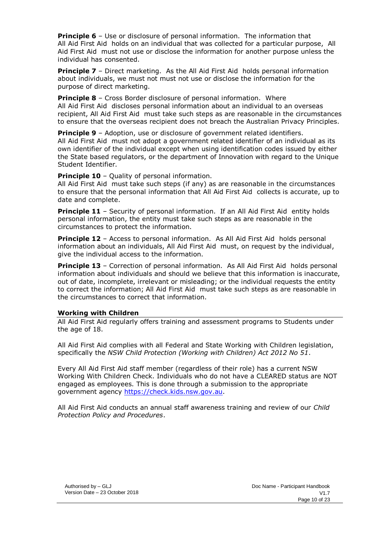**Principle 6** – Use or disclosure of personal information. The information that All Aid First Aid holds on an individual that was collected for a particular purpose, All Aid First Aid must not use or disclose the information for another purpose unless the individual has consented.

**Principle 7** – Direct marketing. As the All Aid First Aid holds personal information about individuals, we must not must not use or disclose the information for the purpose of direct marketing.

**Principle 8** – Cross Border disclosure of personal information. Where All Aid First Aid discloses personal information about an individual to an overseas recipient, All Aid First Aid must take such steps as are reasonable in the circumstances to ensure that the overseas recipient does not breach the Australian Privacy Principles.

**Principle 9** – Adoption, use or disclosure of government related identifiers. All Aid First Aid must not adopt a government related identifier of an individual as its own identifier of the individual except when using identification codes issued by either the State based regulators, or the department of Innovation with regard to the Unique Student Identifier.

**Principle 10** – Quality of personal information.

All Aid First Aid must take such steps (if any) as are reasonable in the circumstances to ensure that the personal information that All Aid First Aid collects is accurate, up to date and complete.

**Principle 11** – Security of personal information. If an All Aid First Aid entity holds personal information, the entity must take such steps as are reasonable in the circumstances to protect the information.

**Principle 12** – Access to personal information. As All Aid First Aid holds personal information about an individuals, All Aid First Aid must, on request by the individual, give the individual access to the information.

**Principle 13** – Correction of personal information. As All Aid First Aid holds personal information about individuals and should we believe that this information is inaccurate, out of date, incomplete, irrelevant or misleading; or the individual requests the entity to correct the information; All Aid First Aid must take such steps as are reasonable in the circumstances to correct that information.

#### <span id="page-9-0"></span>**Working with Children**

All Aid First Aid regularly offers training and assessment programs to Students under the age of 18.

All Aid First Aid complies with all Federal and State Working with Children legislation, specifically the *NSW Child Protection (Working with Children) Act 2012 No 51*.

Every All Aid First Aid staff member (regardless of their role) has a current NSW Working With Children Check. Individuals who do not have a CLEARED status are NOT engaged as employees. This is done through a submission to the appropriate government agency [https://check.kids.nsw.gov.au.](https://check.kids.nsw.gov.au/)

All Aid First Aid conducts an annual staff awareness training and review of our *Child Protection Policy and Procedures*.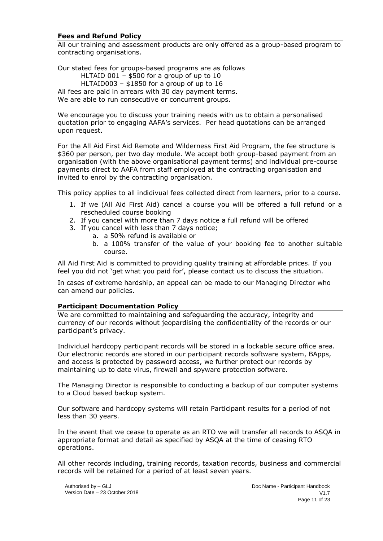#### <span id="page-10-0"></span>**Fees and Refund Policy**

All our training and assessment products are only offered as a group-based program to contracting organisations.

Our stated fees for groups-based programs are as follows HLTAID 001 – \$500 for a group of up to 10 HLTAID003 – \$1850 for a group of up to 16 All fees are paid in arrears with 30 day payment terms. We are able to run consecutive or concurrent groups.

We encourage you to discuss your training needs with us to obtain a personalised quotation prior to engaging AAFA's services. Per head quotations can be arranged upon request.

For the All Aid First Aid Remote and Wilderness First Aid Program, the fee structure is \$360 per person, per two day module. We accept both group-based payment from an organisation (with the above organisational payment terms) and individual pre-course payments direct to AAFA from staff employed at the contracting organisation and invited to enrol by the contracting organisation.

This policy applies to all indidivual fees collected direct from learners, prior to a course.

- 1. If we (All Aid First Aid) cancel a course you will be offered a full refund or a rescheduled course booking
- 2. If you cancel with more than 7 days notice a full refund will be offered
- 3. If you cancel with less than 7 days notice;
	- a. a 50% refund is available or
	- b. a 100% transfer of the value of your booking fee to another suitable course.

All Aid First Aid is committed to providing quality training at affordable prices. If you feel you did not 'get what you paid for', please contact us to discuss the situation.

In cases of extreme hardship, an appeal can be made to our Managing Director who can amend our policies.

#### <span id="page-10-1"></span>**Participant Documentation Policy**

We are committed to maintaining and safeguarding the accuracy, integrity and currency of our records without jeopardising the confidentiality of the records or our participant's privacy.

Individual hardcopy participant records will be stored in a lockable secure office area. Our electronic records are stored in our participant records software system, BApps, and access is protected by password access, we further protect our records by maintaining up to date virus, firewall and spyware protection software.

The Managing Director is responsible to conducting a backup of our computer systems to a Cloud based backup system.

Our software and hardcopy systems will retain Participant results for a period of not less than 30 years.

In the event that we cease to operate as an RTO we will transfer all records to ASQA in appropriate format and detail as specified by ASQA at the time of ceasing RTO operations.

All other records including, training records, taxation records, business and commercial records will be retained for a period of at least seven years.

Authorised by – GLJ Version Date – 23 October 2018 Doc Name - Participant Handbook  $V1.7$ Page 11 of 23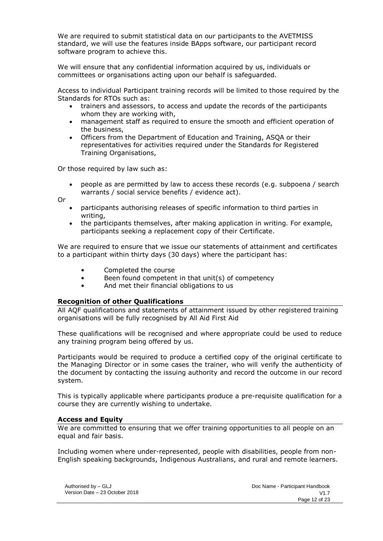We are required to submit statistical data on our participants to the AVETMISS standard, we will use the features inside BApps software, our participant record software program to achieve this.

We will ensure that any confidential information acquired by us, individuals or committees or organisations acting upon our behalf is safeguarded.

Access to individual Participant training records will be limited to those required by the Standards for RTOs such as:

- trainers and assessors, to access and update the records of the participants whom they are working with,
- management staff as required to ensure the smooth and efficient operation of the business,
- Officers from the Department of Education and Training, ASQA or their representatives for activities required under the Standards for Registered Training Organisations,

Or those required by law such as:

• people as are permitted by law to access these records (e.g. subpoena / search warrants / social service benefits / evidence act).

Or

- participants authorising releases of specific information to third parties in writing,
- the participants themselves, after making application in writing. For example, participants seeking a replacement copy of their Certificate.

We are required to ensure that we issue our statements of attainment and certificates to a participant within thirty days (30 days) where the participant has:

- Completed the course
- Been found competent in that unit(s) of competency
- And met their financial obligations to us

#### <span id="page-11-0"></span>**Recognition of other Qualifications**

All AQF qualifications and statements of attainment issued by other registered training organisations will be fully recognised by All Aid First Aid

These qualifications will be recognised and where appropriate could be used to reduce any training program being offered by us.

Participants would be required to produce a certified copy of the original certificate to the Managing Director or in some cases the trainer, who will verify the authenticity of the document by contacting the issuing authority and record the outcome in our record system.

This is typically applicable where participants produce a pre-requisite qualification for a course they are currently wishing to undertake.

#### <span id="page-11-1"></span>**Access and Equity**

We are committed to ensuring that we offer training opportunities to all people on an equal and fair basis.

Including women where under-represented, people with disabilities, people from non-English speaking backgrounds, Indigenous Australians, and rural and remote learners.

Authorised by – GLJ Version Date – 23 October 2018 Doc Name - Participant Handbook  $V1.7$ Page 12 of 23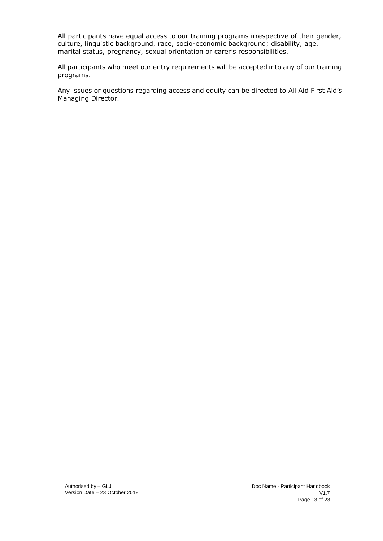All participants have equal access to our training programs irrespective of their gender, culture, linguistic background, race, socio-economic background; disability, age, marital status, pregnancy, sexual orientation or carer's responsibilities.

All participants who meet our entry requirements will be accepted into any of our training programs.

Any issues or questions regarding access and equity can be directed to All Aid First Aid's Managing Director.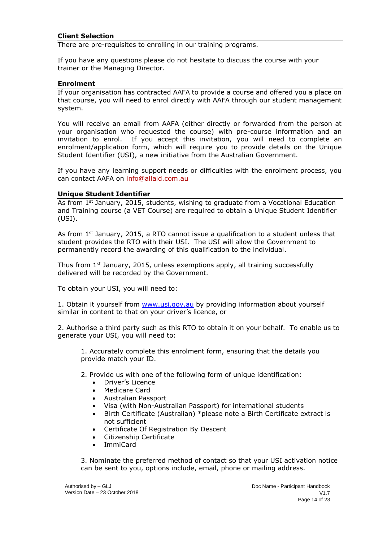#### <span id="page-13-0"></span>**Client Selection**

There are pre-requisites to enrolling in our training programs.

If you have any questions please do not hesitate to discuss the course with your trainer or the Managing Director.

#### <span id="page-13-1"></span>**Enrolment**

If your organisation has contracted AAFA to provide a course and offered you a place on that course, you will need to enrol directly with AAFA through our student management system.

You will receive an email from AAFA (either directly or forwarded from the person at your organisation who requested the course) with pre-course information and an invitation to enrol. If you accept this invitation, you will need to complete an enrolment/application form, which will require you to provide details on the Unique Student Identifier (USI), a new initiative from the Australian Government.

If you have any learning support needs or difficulties with the enrolment process, you can contact AAFA on [info@allaid.com.au](mailto:info@allaid.com.au)

#### <span id="page-13-2"></span>**Unique Student Identifier**

As from 1<sup>st</sup> January, 2015, students, wishing to graduate from a Vocational Education and Training course (a VET Course) are required to obtain a Unique Student Identifier (USI).

As from  $1<sup>st</sup>$  January, 2015, a RTO cannot issue a qualification to a student unless that student provides the RTO with their USI. The USI will allow the Government to permanently record the awarding of this qualification to the individual.

Thus from  $1<sup>st</sup>$  January, 2015, unless exemptions apply, all training successfully delivered will be recorded by the Government.

To obtain your USI, you will need to:

1. Obtain it yourself from [www.usi.gov.au](http://www.usi.gov.au/) by providing information about yourself similar in content to that on your driver's licence, or

2. Authorise a third party such as this RTO to obtain it on your behalf. To enable us to generate your USI, you will need to:

1. Accurately complete this enrolment form, ensuring that the details you provide match your ID.

2. Provide us with one of the following form of unique identification:

- Driver's Licence
- Medicare Card
- Australian Passport
- Visa (with Non-Australian Passport) for international students
- Birth Certificate (Australian) \*please note a Birth Certificate extract is not sufficient
- Certificate Of Registration By Descent
- Citizenship Certificate
- ImmiCard

3. Nominate the preferred method of contact so that your USI activation notice can be sent to you, options include, email, phone or mailing address.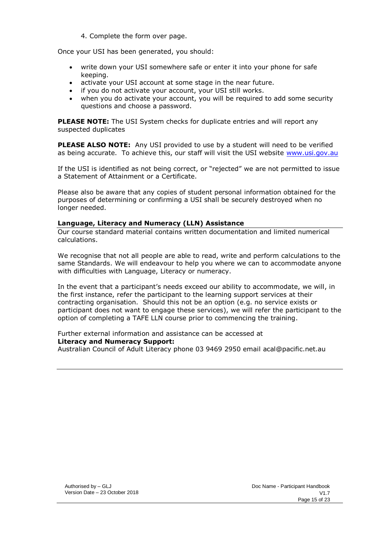4. Complete the form over page.

Once your USI has been generated, you should:

- write down your USI somewhere safe or enter it into your phone for safe keeping.
- activate your USI account at some stage in the near future.
- if you do not activate your account, your USI still works.
- when you do activate your account, you will be required to add some security questions and choose a password.

**PLEASE NOTE:** The USI System checks for duplicate entries and will report any suspected duplicates

**PLEASE ALSO NOTE:** Any USI provided to use by a student will need to be verified as being accurate. To achieve this, our staff will visit the USI website [www.usi.gov.au](http://www.usi.gov.au/)

If the USI is identified as not being correct, or "rejected" we are not permitted to issue a Statement of Attainment or a Certificate.

Please also be aware that any copies of student personal information obtained for the purposes of determining or confirming a USI shall be securely destroyed when no longer needed.

#### <span id="page-14-0"></span>**Language, Literacy and Numeracy (LLN) Assistance**

Our course standard material contains written documentation and limited numerical calculations.

We recognise that not all people are able to read, write and perform calculations to the same Standards. We will endeavour to help you where we can to accommodate anyone with difficulties with Language, Literacy or numeracy.

In the event that a participant's needs exceed our ability to accommodate, we will, in the first instance, refer the participant to the learning support services at their contracting organisation. Should this not be an option (e.g. no service exists or participant does not want to engage these services), we will refer the participant to the option of completing a TAFE LLN course prior to commencing the training.

Further external information and assistance can be accessed at **Literacy and Numeracy Support:**

Australian Council of Adult Literacy phone 03 9469 2950 email [acal@pacific.net.au](mailto:acal@pacific.net.au)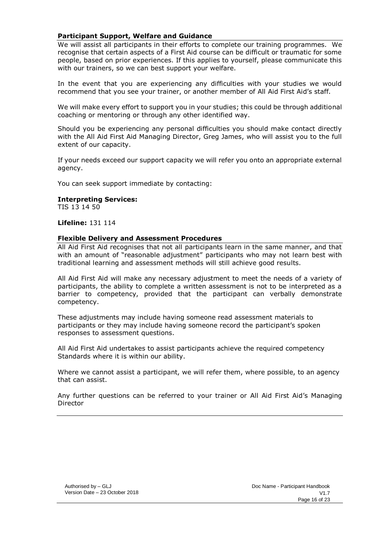#### <span id="page-15-0"></span>**Participant Support, Welfare and Guidance**

We will assist all participants in their efforts to complete our training programmes. We recognise that certain aspects of a First Aid course can be difficult or traumatic for some people, based on prior experiences. If this applies to yourself, please communicate this with our trainers, so we can best support your welfare.

In the event that you are experiencing any difficulties with your studies we would recommend that you see your trainer, or another member of All Aid First Aid's staff.

We will make every effort to support you in your studies; this could be through additional coaching or mentoring or through any other identified way.

Should you be experiencing any personal difficulties you should make contact directly with the All Aid First Aid Managing Director, Greg James, who will assist you to the full extent of our capacity.

If your needs exceed our support capacity we will refer you onto an appropriate external agency.

You can seek support immediate by contacting:

#### **Interpreting Services:**

TIS 13 14 50

**Lifeline:** 131 114

#### <span id="page-15-1"></span>**Flexible Delivery and Assessment Procedures**

All Aid First Aid recognises that not all participants learn in the same manner, and that with an amount of "reasonable adjustment" participants who may not learn best with traditional learning and assessment methods will still achieve good results.

All Aid First Aid will make any necessary adjustment to meet the needs of a variety of participants, the ability to complete a written assessment is not to be interpreted as a barrier to competency, provided that the participant can verbally demonstrate competency.

These adjustments may include having someone read assessment materials to participants or they may include having someone record the participant's spoken responses to assessment questions.

All Aid First Aid undertakes to assist participants achieve the required competency Standards where it is within our ability.

Where we cannot assist a participant, we will refer them, where possible, to an agency that can assist.

Any further questions can be referred to your trainer or All Aid First Aid's Managing Director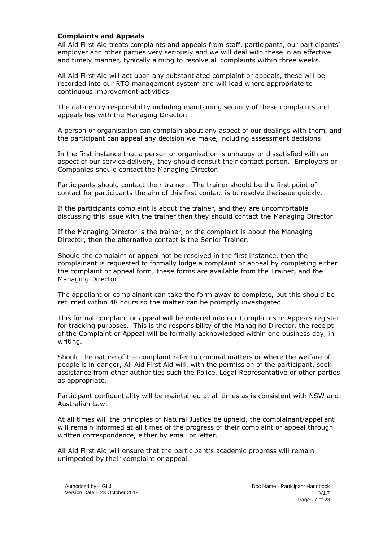#### <span id="page-16-0"></span>**Complaints and Appeals**

All Aid First Aid treats complaints and appeals from staff, participants, our participants' employer and other parties very seriously and we will deal with these in an effective and timely manner, typically aiming to resolve all complaints within three weeks.

All Aid First Aid will act upon any substantiated complaint or appeals, these will be recorded into our RTO management system and will lead where appropriate to continuous improvement activities.

The data entry responsibility including maintaining security of these complaints and appeals lies with the Managing Director.

A person or organisation can complain about any aspect of our dealings with them, and the participant can appeal any decision we make, including assessment decisions.

In the first instance that a person or organisation is unhappy or dissatisfied with an aspect of our service delivery, they should consult their contact person. Employers or Companies should contact the Managing Director.

Participants should contact their trainer. The trainer should be the first point of contact for participants the aim of this first contact is to resolve the issue quickly.

If the participants complaint is about the trainer, and they are uncomfortable discussing this issue with the trainer then they should contact the Managing Director.

If the Managing Director is the trainer, or the complaint is about the Managing Director, then the alternative contact is the Senior Trainer.

Should the complaint or appeal not be resolved in the first instance, then the complainant is requested to formally lodge a complaint or appeal by completing either the complaint or appeal form, these forms are available from the Trainer, and the Managing Director.

The appellant or complainant can take the form away to complete, but this should be returned within 48 hours so the matter can be promptly investigated.

This formal complaint or appeal will be entered into our Complaints or Appeals register for tracking purposes. This is the responsibility of the Managing Director, the receipt of the Complaint or Appeal will be formally acknowledged within one business day, in writing.

Should the nature of the complaint refer to criminal matters or where the welfare of people is in danger, All Aid First Aid will, with the permission of the participant, seek assistance from other authorities such the Police, Legal Representative or other parties as appropriate.

Participant confidentiality will be maintained at all times as is consistent with NSW and Australian Law.

At all times will the principles of Natural Justice be upheld, the complainant/appellant will remain informed at all times of the progress of their complaint or appeal through written correspondence, either by email or letter.

All Aid First Aid will ensure that the participant's academic progress will remain unimpeded by their complaint or appeal.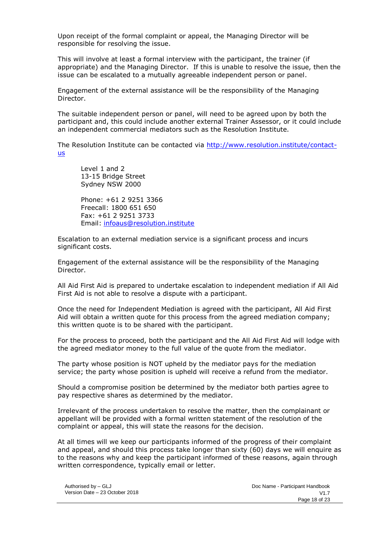Upon receipt of the formal complaint or appeal, the Managing Director will be responsible for resolving the issue.

This will involve at least a formal interview with the participant, the trainer (if appropriate) and the Managing Director. If this is unable to resolve the issue, then the issue can be escalated to a mutually agreeable independent person or panel.

Engagement of the external assistance will be the responsibility of the Managing Director.

The suitable independent person or panel, will need to be agreed upon by both the participant and, this could include another external Trainer Assessor, or it could include an independent commercial mediators such as the Resolution Institute.

The Resolution Institute can be contacted via [http://www.resolution.institute/contact](http://www.resolution.institute/contact-us)[us](http://www.resolution.institute/contact-us)

Level 1 and 2 13-15 Bridge Street Sydney NSW 2000

Phone: +61 2 9251 3366 Freecall: 1800 651 650 Fax: +61 2 9251 3733 Email: [infoaus@resolution.institute](mailto:infoaus@resolution.institute)

Escalation to an external mediation service is a significant process and incurs significant costs.

Engagement of the external assistance will be the responsibility of the Managing Director.

All Aid First Aid is prepared to undertake escalation to independent mediation if All Aid First Aid is not able to resolve a dispute with a participant.

Once the need for Independent Mediation is agreed with the participant, All Aid First Aid will obtain a written quote for this process from the agreed mediation company; this written quote is to be shared with the participant.

For the process to proceed, both the participant and the All Aid First Aid will lodge with the agreed mediator money to the full value of the quote from the mediator.

The party whose position is NOT upheld by the mediator pays for the mediation service; the party whose position is upheld will receive a refund from the mediator.

Should a compromise position be determined by the mediator both parties agree to pay respective shares as determined by the mediator.

Irrelevant of the process undertaken to resolve the matter, then the complainant or appellant will be provided with a formal written statement of the resolution of the complaint or appeal, this will state the reasons for the decision.

At all times will we keep our participants informed of the progress of their complaint and appeal, and should this process take longer than sixty (60) days we will enquire as to the reasons why and keep the participant informed of these reasons, again through written correspondence, typically email or letter.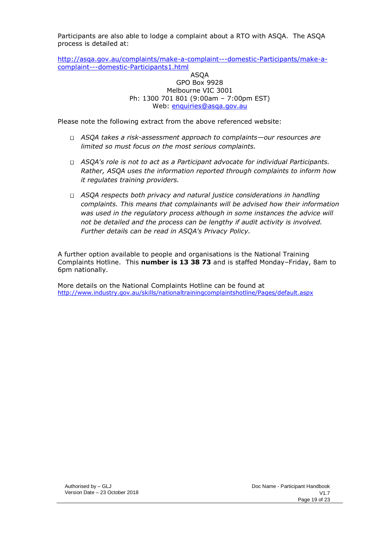Participants are also able to lodge a complaint about a RTO with ASQA. The ASQA process is detailed at:

[http://asqa.gov.au/complaints/make-a-complaint---domestic-Participants/make-a](http://asqa.gov.au/complaints/make-a-complaint---domestic-students/make-a-complaint---domestic-students1.html)[complaint---domestic-Participants1.html](http://asqa.gov.au/complaints/make-a-complaint---domestic-students/make-a-complaint---domestic-students1.html)

#### ASQA GPO Box 9928 Melbourne VIC 3001 Ph: 1300 701 801 (9:00am – 7:00pm EST) Web: enquiries@asqa.gov.au

Please note the following extract from the above referenced website:

- *ASQA takes a risk-assessment approach to complaints—our resources are limited so must focus on the most serious complaints.*
- *ASQA's role is not to act as a Participant advocate for individual Participants. Rather, ASQA uses the information reported through complaints to inform how it regulates training providers.*
- *ASQA respects both privacy and natural justice considerations in handling complaints. This means that complainants will be advised how their information*  was used in the regulatory process although in some instances the advice will *not be detailed and the process can be lengthy if audit activity is involved. Further details can be read in ASQA's Privacy Policy.*

A further option available to people and organisations is the National Training Complaints Hotline. This **number is 13 38 73** and is staffed Monday–Friday, 8am to 6pm nationally.

More details on the National Complaints Hotline can be found at <http://www.industry.gov.au/skills/nationaltrainingcomplaintshotline/Pages/default.aspx>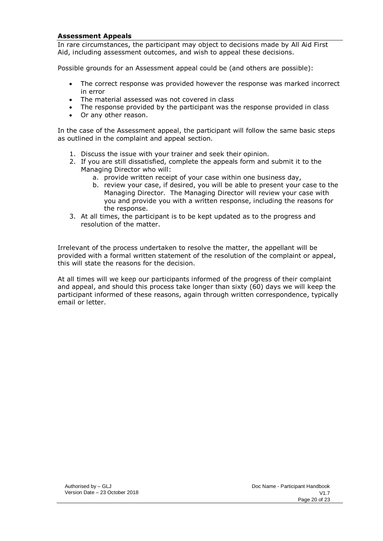#### <span id="page-19-0"></span>**Assessment Appeals**

In rare circumstances, the participant may object to decisions made by All Aid First Aid, including assessment outcomes, and wish to appeal these decisions.

Possible grounds for an Assessment appeal could be (and others are possible):

- The correct response was provided however the response was marked incorrect in error
- The material assessed was not covered in class
- The response provided by the participant was the response provided in class
- Or any other reason.

In the case of the Assessment appeal, the participant will follow the same basic steps as outlined in the complaint and appeal section.

- 1. Discuss the issue with your trainer and seek their opinion.
- 2. If you are still dissatisfied, complete the appeals form and submit it to the Managing Director who will:
	- a. provide written receipt of your case within one business day,
	- b. review your case, if desired, you will be able to present your case to the Managing Director. The Managing Director will review your case with you and provide you with a written response, including the reasons for the response.
- 3. At all times, the participant is to be kept updated as to the progress and resolution of the matter.

Irrelevant of the process undertaken to resolve the matter, the appellant will be provided with a formal written statement of the resolution of the complaint or appeal, this will state the reasons for the decision.

At all times will we keep our participants informed of the progress of their complaint and appeal, and should this process take longer than sixty (60) days we will keep the participant informed of these reasons, again through written correspondence, typically email or letter.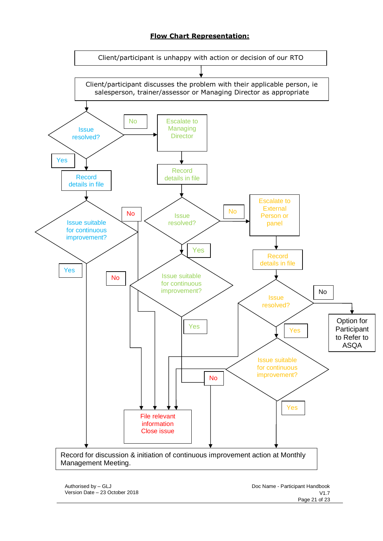# **Flow Chart Representation:**

<span id="page-20-0"></span>

Authorised by – GLJ Version Date – 23 October 2018 Doc Name - Participant Handbook V1.7 Page 21 of 23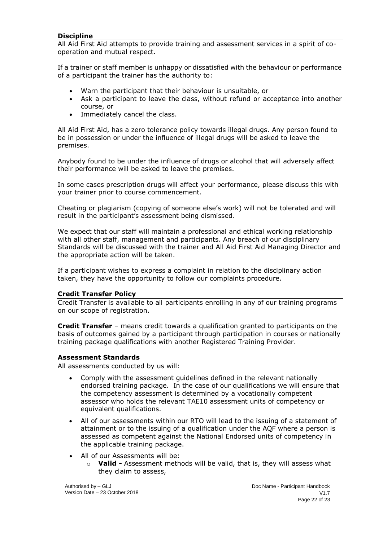#### **Discipline**

All Aid First Aid attempts to provide training and assessment services in a spirit of cooperation and mutual respect.

If a trainer or staff member is unhappy or dissatisfied with the behaviour or performance of a participant the trainer has the authority to:

- Warn the participant that their behaviour is unsuitable, or
- Ask a participant to leave the class, without refund or acceptance into another course, or
- Immediately cancel the class.

All Aid First Aid, has a zero tolerance policy towards illegal drugs. Any person found to be in possession or under the influence of illegal drugs will be asked to leave the premises.

Anybody found to be under the influence of drugs or alcohol that will adversely affect their performance will be asked to leave the premises.

In some cases prescription drugs will affect your performance, please discuss this with your trainer prior to course commencement.

Cheating or plagiarism (copying of someone else's work) will not be tolerated and will result in the participant's assessment being dismissed.

We expect that our staff will maintain a professional and ethical working relationship with all other staff, management and participants. Any breach of our disciplinary Standards will be discussed with the trainer and All Aid First Aid Managing Director and the appropriate action will be taken.

If a participant wishes to express a complaint in relation to the disciplinary action taken, they have the opportunity to follow our complaints procedure.

#### <span id="page-21-0"></span>**Credit Transfer Policy**

Credit Transfer is available to all participants enrolling in any of our training programs on our scope of registration.

**Credit Transfer** – means credit towards a qualification granted to participants on the basis of outcomes gained by a participant through participation in courses or nationally training package qualifications with another Registered Training Provider.

#### <span id="page-21-1"></span>**Assessment Standards**

All assessments conducted by us will:

- Comply with the assessment guidelines defined in the relevant nationally endorsed training package. In the case of our qualifications we will ensure that the competency assessment is determined by a vocationally competent assessor who holds the relevant TAE10 assessment units of competency or equivalent qualifications.
- All of our assessments within our RTO will lead to the issuing of a statement of attainment or to the issuing of a qualification under the AQF where a person is assessed as competent against the National Endorsed units of competency in the applicable training package.
- All of our Assessments will be:
	- o **Valid -** Assessment methods will be valid, that is, they will assess what they claim to assess,

Authorised by – GLJ Version Date – 23 October 2018 Doc Name - Participant Handbook V1.7 Page 22 of 23